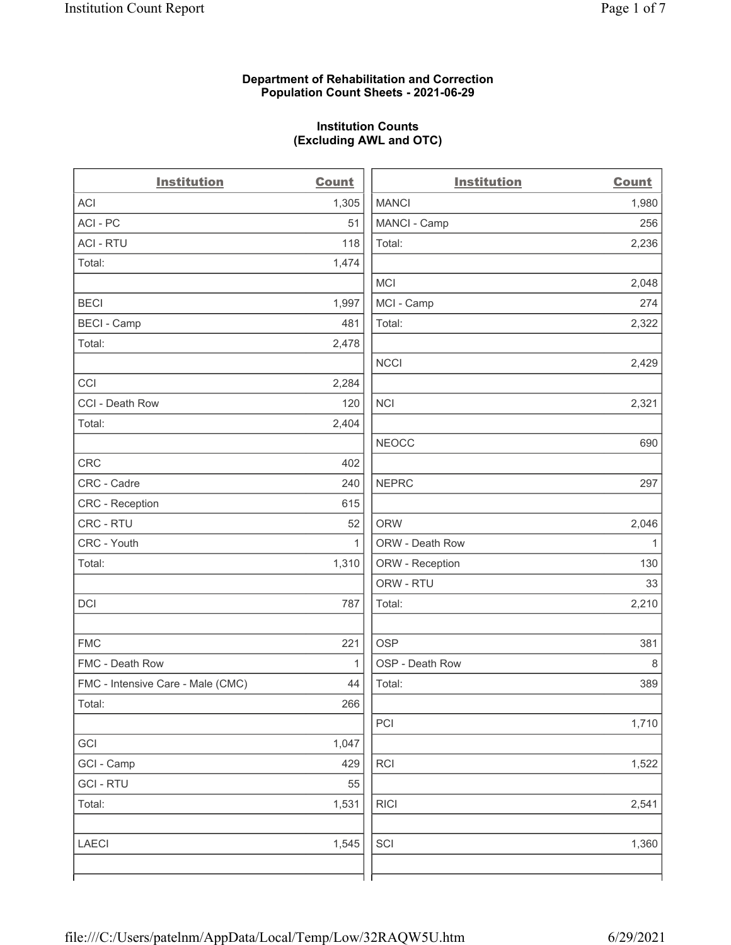## Department of Rehabilitation and Correction Population Count Sheets - 2021-06-29

## Institution Counts (Excluding AWL and OTC)

. .

| <b>Institution</b>                | <b>Count</b> | <b>Institution</b> | <b>Count</b> |
|-----------------------------------|--------------|--------------------|--------------|
| <b>ACI</b>                        | 1,305        | <b>MANCI</b>       | 1,980        |
| ACI-PC                            | 51           | MANCI - Camp       | 256          |
| <b>ACI - RTU</b>                  | 118          | Total:             | 2,236        |
| Total:                            | 1,474        |                    |              |
|                                   |              | MCI                | 2,048        |
| <b>BECI</b>                       | 1,997        | MCI - Camp         | 274          |
| <b>BECI - Camp</b>                | 481          | Total:             | 2,322        |
| Total:                            | 2,478        |                    |              |
|                                   |              | <b>NCCI</b>        | 2,429        |
| CCI                               | 2,284        |                    |              |
| CCI - Death Row                   | 120          | <b>NCI</b>         | 2,321        |
| Total:                            | 2,404        |                    |              |
|                                   |              | <b>NEOCC</b>       | 690          |
| CRC                               | 402          |                    |              |
| CRC - Cadre                       | 240          | <b>NEPRC</b>       | 297          |
| CRC - Reception                   | 615          |                    |              |
| CRC - RTU                         | 52           | <b>ORW</b>         | 2,046        |
| CRC - Youth                       | $\mathbf{1}$ | ORW - Death Row    | $\mathbf{1}$ |
| Total:                            | 1,310        | ORW - Reception    | 130          |
|                                   |              | ORW - RTU          | 33           |
| DCI                               | 787          | Total:             | 2,210        |
| <b>FMC</b>                        | 221          | <b>OSP</b>         | 381          |
| FMC - Death Row                   | 1            | OSP - Death Row    | 8            |
| FMC - Intensive Care - Male (CMC) | 44           | Total:             | 389          |
| Total:                            | 266          |                    |              |
|                                   |              | PCI                | 1,710        |
| GCI                               | 1,047        |                    |              |
| GCI - Camp                        | 429          | <b>RCI</b>         | 1,522        |
| <b>GCI-RTU</b>                    | 55           |                    |              |
| Total:                            | 1,531        | <b>RICI</b>        | 2,541        |
| <b>LAECI</b>                      | 1,545        | SCI                | 1,360        |
|                                   |              |                    |              |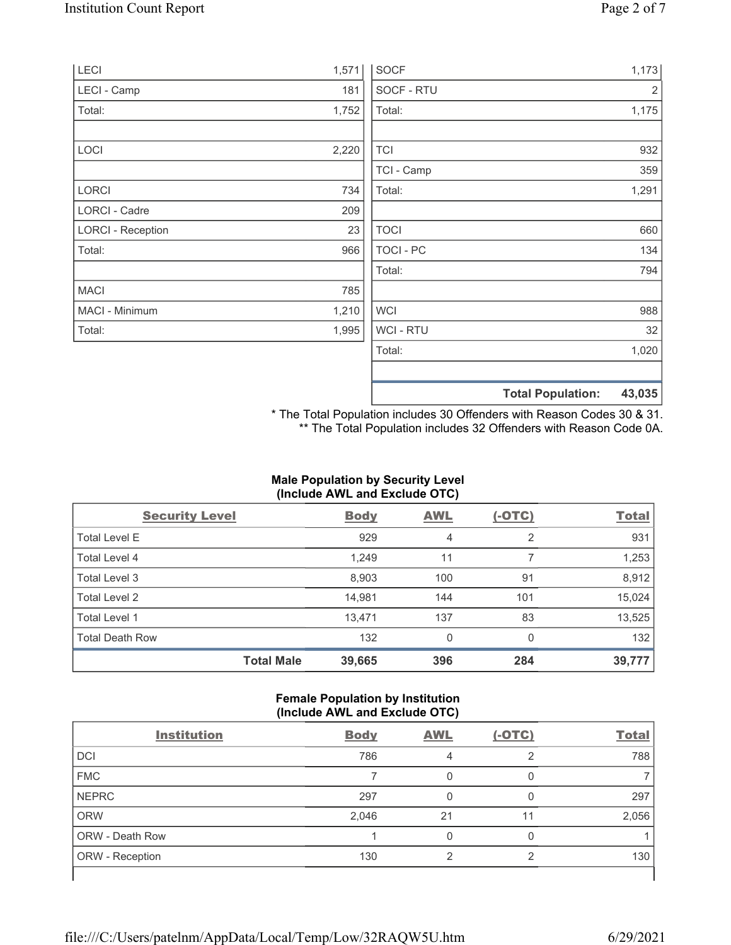| <b>LECI</b>              | 1,571 | <b>SOCF</b>      | 1,173                              |
|--------------------------|-------|------------------|------------------------------------|
| LECI - Camp              | 181   | SOCF - RTU       | $\overline{2}$                     |
| Total:                   | 1,752 | Total:           | 1,175                              |
| LOCI                     | 2,220 | <b>TCI</b>       | 932                                |
|                          |       | TCI - Camp       | 359                                |
| LORCI                    | 734   | Total:           | 1,291                              |
| LORCI - Cadre            | 209   |                  |                                    |
| <b>LORCI - Reception</b> | 23    | <b>TOCI</b>      | 660                                |
| Total:                   | 966   | <b>TOCI - PC</b> | 134                                |
|                          |       | Total:           | 794                                |
| <b>MACI</b>              | 785   |                  |                                    |
| MACI - Minimum           | 1,210 | <b>WCI</b>       | 988                                |
| Total:                   | 1,995 | <b>WCI-RTU</b>   | 32                                 |
|                          |       | Total:           | 1,020                              |
|                          |       |                  | 43,035<br><b>Total Population:</b> |

\* The Total Population includes 30 Offenders with Reason Codes 30 & 31. \*\* The Total Population includes 32 Offenders with Reason Code 0A.

# Male Population by Security Level (Include AWL and Exclude OTC)

| <b>Security Level</b>  |                   | <b>Body</b> | <b>AWL</b> | $(-OTC)$ | <b>Total</b> |
|------------------------|-------------------|-------------|------------|----------|--------------|
| <b>Total Level E</b>   |                   | 929         | 4          | 2        | 931          |
| Total Level 4          |                   | 1,249       | 11         |          | 1,253        |
| Total Level 3          |                   | 8,903       | 100        | 91       | 8,912        |
| Total Level 2          |                   | 14,981      | 144        | 101      | 15,024       |
| Total Level 1          |                   | 13,471      | 137        | 83       | 13,525       |
| <b>Total Death Row</b> |                   | 132         | 0          | $\Omega$ | 132          |
|                        | <b>Total Male</b> | 39,665      | 396        | 284      | 39,777       |

## Female Population by Institution (Include AWL and Exclude OTC)

| $\sim$<br><b>Institution</b> | <b>Body</b> | <b>AWL</b> | . .<br>$(-OTC)$ | <b>Total</b> |
|------------------------------|-------------|------------|-----------------|--------------|
| <b>DCI</b>                   | 786         | 4          | ◠               | 788          |
| <b>FMC</b>                   |             |            |                 |              |
| <b>NEPRC</b>                 | 297         |            |                 | 297          |
| <b>ORW</b>                   | 2,046       | 21         | 11              | 2,056        |
| <b>ORW - Death Row</b>       |             | 0          | 0               |              |
| ORW - Reception              | 130         | ◠          | ⌒               | 130          |
|                              |             |            |                 |              |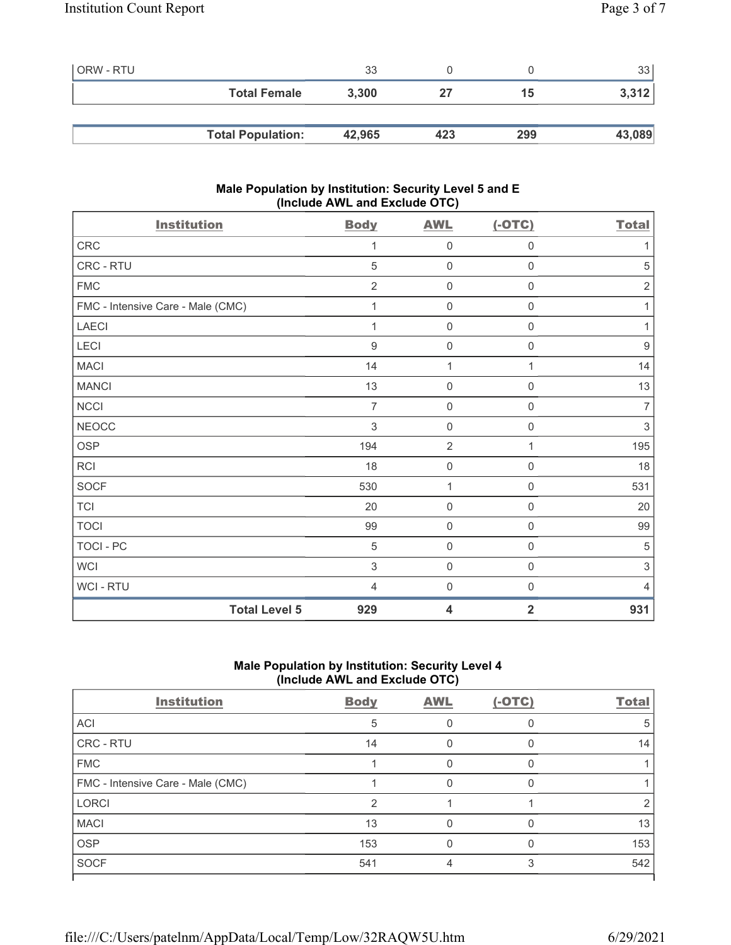| ORW - RTU |                          | 33     |     |     | 33 <sub>1</sub> |
|-----------|--------------------------|--------|-----|-----|-----------------|
|           | <b>Total Female</b>      | 3,300  | 27  | 15  | 3,312           |
|           |                          |        |     |     |                 |
|           | <b>Total Population:</b> | 42,965 | 423 | 299 | 43,089          |

## Male Population by Institution: Security Level 5 and E (Include AWL and Exclude OTC)

| <b>Institution</b>                | <b>Body</b>    | <b>AWL</b>          | $(-OTC)$            | <b>Total</b>     |
|-----------------------------------|----------------|---------------------|---------------------|------------------|
| CRC                               | 1              | $\mathbf 0$         | $\boldsymbol{0}$    | 1                |
| CRC - RTU                         | 5              | $\mathsf{O}\xspace$ | $\mathsf{O}\xspace$ | 5                |
| <b>FMC</b>                        | $\overline{2}$ | $\mathbf 0$         | $\boldsymbol{0}$    | $\sqrt{2}$       |
| FMC - Intensive Care - Male (CMC) | 1              | $\mathbf 0$         | $\boldsymbol{0}$    | 1                |
| LAECI                             | 1              | $\mathbf 0$         | $\mathbf 0$         | 1                |
| LECI                              | $9\,$          | $\mathbf 0$         | $\mathbf 0$         | $\boldsymbol{9}$ |
| <b>MACI</b>                       | 14             | 1                   | 1                   | 14               |
| <b>MANCI</b>                      | 13             | $\mathbf 0$         | $\mathsf{O}\xspace$ | 13               |
| <b>NCCI</b>                       | $\overline{7}$ | $\mathsf{O}\xspace$ | $\mathsf{O}\xspace$ | $\overline{7}$   |
| <b>NEOCC</b>                      | 3              | $\mathsf{O}\xspace$ | 0                   | 3                |
| <b>OSP</b>                        | 194            | $\overline{2}$      | 1                   | 195              |
| <b>RCI</b>                        | 18             | $\mathsf{O}\xspace$ | $\mathbf 0$         | 18               |
| <b>SOCF</b>                       | 530            | $\mathbf{1}$        | $\boldsymbol{0}$    | 531              |
| <b>TCI</b>                        | 20             | $\mathsf{O}\xspace$ | $\mathbf 0$         | 20               |
| <b>TOCI</b>                       | 99             | $\mathsf{O}\xspace$ | $\,0\,$             | 99               |
| TOCI - PC                         | 5              | $\mathbf 0$         | $\,0\,$             | 5                |
| <b>WCI</b>                        | 3              | $\mathsf{O}\xspace$ | $\mathbf 0$         | 3                |
| WCI - RTU                         | $\overline{4}$ | $\mathsf{O}\xspace$ | $\mathbf 0$         | $\overline{4}$   |
| <b>Total Level 5</b>              | 929            | 4                   | $\overline{2}$      | 931              |

## Male Population by Institution: Security Level 4 (Include AWL and Exclude OTC)

| <b>Institution</b>                | <b>Body</b> | <b>AWL</b> | $(-OTC)$ | <b>Total</b> |
|-----------------------------------|-------------|------------|----------|--------------|
| ACI                               | 5           |            |          |              |
| CRC - RTU                         | 14          |            |          | 14           |
| <b>FMC</b>                        |             |            |          |              |
| FMC - Intensive Care - Male (CMC) |             |            | U        |              |
| <b>LORCI</b>                      | っ           |            |          |              |
| <b>MACI</b>                       | 13          |            |          | 13           |
| <b>OSP</b>                        | 153         |            |          | 153          |
| <b>SOCF</b>                       | 541         |            | 3        | 542          |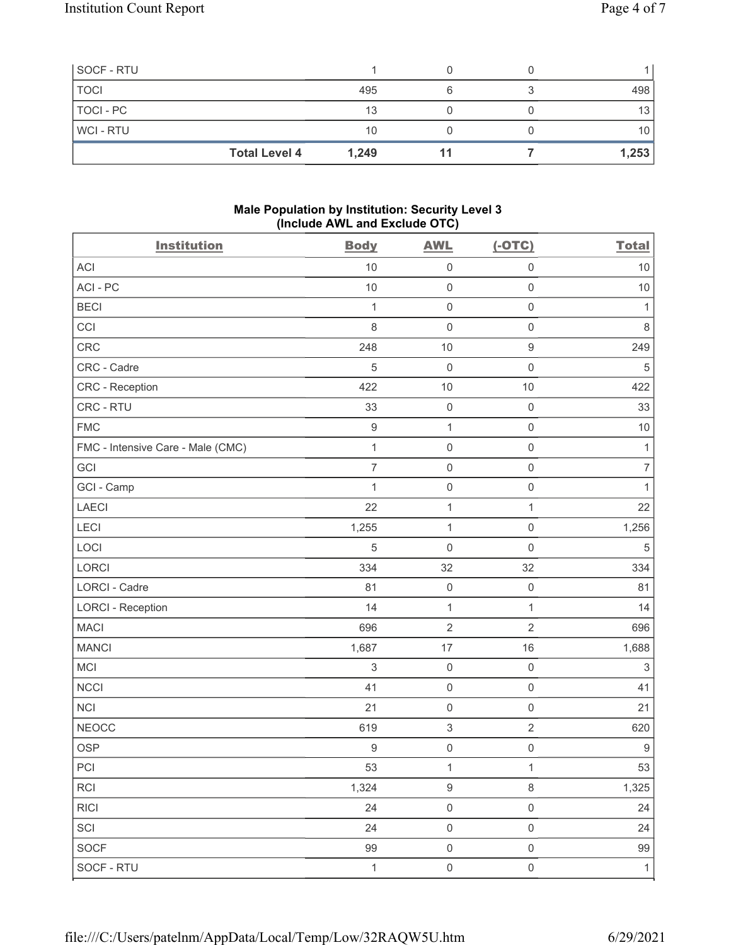| SOCF - RTU     |                      |       |  |       |
|----------------|----------------------|-------|--|-------|
| <b>TOCI</b>    |                      | 495   |  | 498   |
| TOCI - PC      |                      | 13    |  | 13    |
| <b>WCI-RTU</b> |                      | 10    |  | 10    |
|                | <b>Total Level 4</b> | 1,249 |  | 1,253 |

## Male Population by Institution: Security Level 3 (Include AWL and Exclude OTC)

| <b>Institution</b>                | <b>Body</b>      | <b>AWL</b>                | $(-OTC)$            | <b>Total</b>              |
|-----------------------------------|------------------|---------------------------|---------------------|---------------------------|
| <b>ACI</b>                        | 10               | $\mathsf{O}\xspace$       | $\mathsf 0$         | $10$                      |
| ACI-PC                            | 10               | $\mathbf 0$               | $\mathsf{O}\xspace$ | 10                        |
| <b>BECI</b>                       | $\mathbf{1}$     | $\mathsf 0$               | $\mathsf 0$         | $\mathbf{1}$              |
| CCI                               | $\,8\,$          | $\mathbf 0$               | $\mathsf{O}\xspace$ | $\,8\,$                   |
| CRC                               | 248              | 10                        | $\boldsymbol{9}$    | 249                       |
| CRC - Cadre                       | 5                | $\mathbf 0$               | $\mathsf 0$         | $5\,$                     |
| <b>CRC</b> - Reception            | 422              | $10$                      | $10$                | 422                       |
| CRC - RTU                         | 33               | $\mathbf 0$               | $\mathsf 0$         | 33                        |
| <b>FMC</b>                        | $\boldsymbol{9}$ | $\mathbf{1}$              | $\mathsf{O}\xspace$ | $10$                      |
| FMC - Intensive Care - Male (CMC) | $\mathbf{1}$     | $\mathsf{O}\xspace$       | $\mathsf{O}\xspace$ | $\mathbf{1}$              |
| GCI                               | $\overline{7}$   | $\mathsf 0$               | $\mathsf{O}\xspace$ | $\overline{7}$            |
| GCI - Camp                        | 1                | $\mathsf{O}\xspace$       | $\mathsf 0$         | $\mathbf{1}$              |
| LAECI                             | 22               | $\mathbf 1$               | $\mathbf{1}$        | 22                        |
| LECI                              | 1,255            | $\mathbf{1}$              | $\mathsf{O}\xspace$ | 1,256                     |
| LOCI                              | 5                | $\mathbf 0$               | $\mathsf{O}\xspace$ | $\,$ 5 $\,$               |
| LORCI                             | 334              | 32                        | 32                  | 334                       |
| <b>LORCI - Cadre</b>              | 81               | $\mathbf 0$               | $\mathsf 0$         | 81                        |
| <b>LORCI - Reception</b>          | 14               | $\mathbf{1}$              | $\mathbf{1}$        | 14                        |
| <b>MACI</b>                       | 696              | $\sqrt{2}$                | $\sqrt{2}$          | 696                       |
| <b>MANCI</b>                      | 1,687            | 17                        | 16                  | 1,688                     |
| MCI                               | 3                | $\mathsf{O}\xspace$       | $\mathsf{O}\xspace$ | $\ensuremath{\mathsf{3}}$ |
| <b>NCCI</b>                       | 41               | $\mathsf 0$               | $\mathsf{O}\xspace$ | 41                        |
| NCI                               | 21               | $\mathsf 0$               | $\mathsf 0$         | 21                        |
| <b>NEOCC</b>                      | 619              | $\ensuremath{\mathsf{3}}$ | $\sqrt{2}$          | 620                       |
| <b>OSP</b>                        | 9                | $\mathsf{O}\xspace$       | $\mathsf 0$         | $\boldsymbol{9}$          |
| PCI                               | 53               | $\mathbf{1}$              | $\mathbf{1}$        | 53                        |
| <b>RCI</b>                        | 1,324            | $\boldsymbol{9}$          | $\,8\,$             | 1,325                     |
| RICI                              | 24               | $\mathsf{O}\xspace$       | $\mathsf 0$         | 24                        |
| SCI                               | 24               | $\mathbf 0$               | $\mathsf{O}\xspace$ | 24                        |
| SOCF                              | 99               | $\mathbf 0$               | $\mathsf{O}\xspace$ | 99                        |
| SOCF - RTU                        | $\mathbf{1}$     | $\mathsf 0$               | $\mathsf{O}\xspace$ | $\mathbf{1}$              |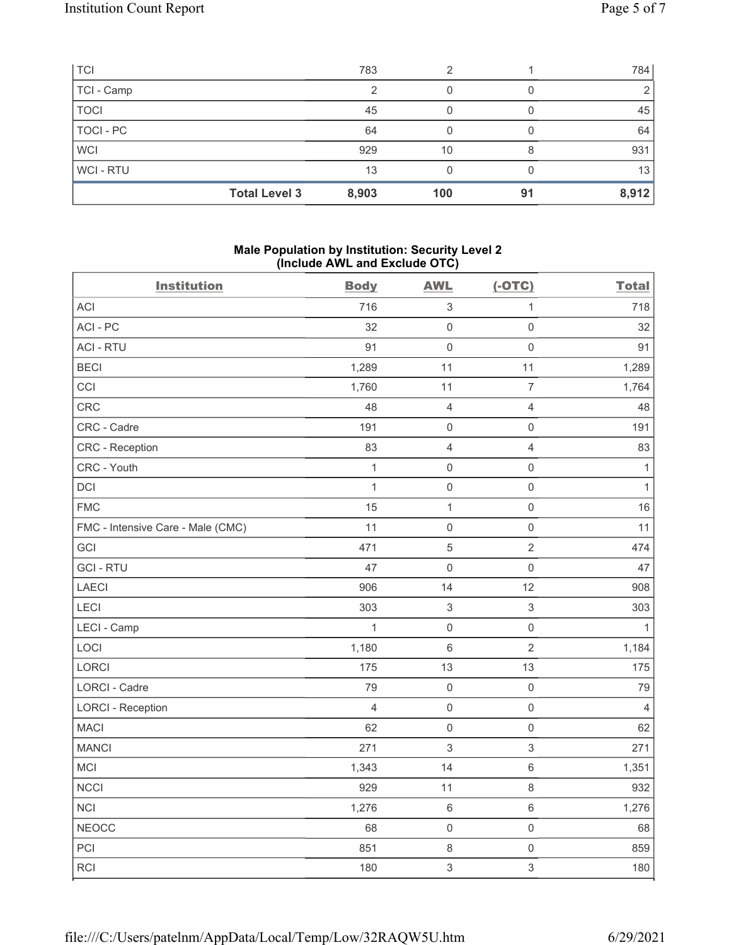| <b>TCI</b>  | 783                           | ≘   |    | 784   |
|-------------|-------------------------------|-----|----|-------|
| TCI - Camp  | っ                             |     |    | 2     |
| <b>TOCI</b> | 45                            |     |    | 45    |
| TOCI - PC   | 64                            |     |    | 64    |
| <b>WCI</b>  | 929                           | 10  | 8  | 931   |
| WCI-RTU     | 13                            |     |    | 13    |
|             | <b>Total Level 3</b><br>8,903 | 100 | 91 | 8,912 |

## Male Population by Institution: Security Level 2 (Include AWL and Exclude OTC)

| <b>Institution</b>                | <b>Body</b>    | <b>AWL</b>                | $(-OTC)$            | <b>Total</b>   |
|-----------------------------------|----------------|---------------------------|---------------------|----------------|
| ACI                               | 716            | $\sqrt{3}$                | $\mathbf{1}$        | 718            |
| ACI-PC                            | 32             | $\mathsf{O}\xspace$       | $\mathsf{O}\xspace$ | 32             |
| <b>ACI - RTU</b>                  | 91             | $\mathsf{O}\xspace$       | $\mathsf{O}\xspace$ | 91             |
| <b>BECI</b>                       | 1,289          | 11                        | 11                  | 1,289          |
| CCI                               | 1,760          | 11                        | $\overline{7}$      | 1,764          |
| CRC                               | 48             | $\overline{4}$            | $\overline{4}$      | 48             |
| CRC - Cadre                       | 191            | $\mathsf{O}\xspace$       | $\mathsf{O}\xspace$ | 191            |
| CRC - Reception                   | 83             | $\overline{4}$            | $\overline{4}$      | 83             |
| CRC - Youth                       | $\mathbf{1}$   | $\mathbf 0$               | $\mathsf{O}\xspace$ | $\mathbf{1}$   |
| DCI                               | $\mathbf{1}$   | $\mathsf 0$               | $\mathsf{O}\xspace$ | $\mathbf{1}$   |
| <b>FMC</b>                        | 15             | 1                         | $\mathsf 0$         | 16             |
| FMC - Intensive Care - Male (CMC) | 11             | $\mathsf 0$               | $\mathsf{O}\xspace$ | 11             |
| GCI                               | 471            | $\sqrt{5}$                | $\overline{2}$      | 474            |
| <b>GCI-RTU</b>                    | 47             | $\mathsf{O}\xspace$       | $\mathsf{O}\xspace$ | 47             |
| <b>LAECI</b>                      | 906            | 14                        | 12                  | 908            |
| LECI                              | 303            | $\ensuremath{\mathsf{3}}$ | $\mathfrak{S}$      | 303            |
| LECI - Camp                       | $\mathbf{1}$   | $\mathsf{O}\xspace$       | $\mathsf{O}\xspace$ | $\mathbf{1}$   |
| LOCI                              | 1,180          | $\,6\,$                   | $\overline{2}$      | 1,184          |
| LORCI                             | 175            | 13                        | 13                  | 175            |
| LORCI - Cadre                     | 79             | $\mathbf 0$               | $\mathsf{O}\xspace$ | 79             |
| <b>LORCI - Reception</b>          | $\overline{4}$ | $\mathsf 0$               | $\mathsf{O}\xspace$ | $\overline{4}$ |
| <b>MACI</b>                       | 62             | $\mathsf{O}\xspace$       | $\mathsf{O}\xspace$ | 62             |
| <b>MANCI</b>                      | 271            | $\sqrt{3}$                | $\sqrt{3}$          | 271            |
| MCI                               | 1,343          | 14                        | $\,6\,$             | 1,351          |
| <b>NCCI</b>                       | 929            | 11                        | $\,8\,$             | 932            |
| <b>NCI</b>                        | 1,276          | $\,6\,$                   | $\,6\,$             | 1,276          |
| <b>NEOCC</b>                      | 68             | $\mathsf{O}\xspace$       | $\mathsf{O}\xspace$ | 68             |
| PCI                               | 851            | $\,8\,$                   | $\mathsf{O}\xspace$ | 859            |
| RCI                               | 180            | 3                         | $\mathfrak{S}$      | 180            |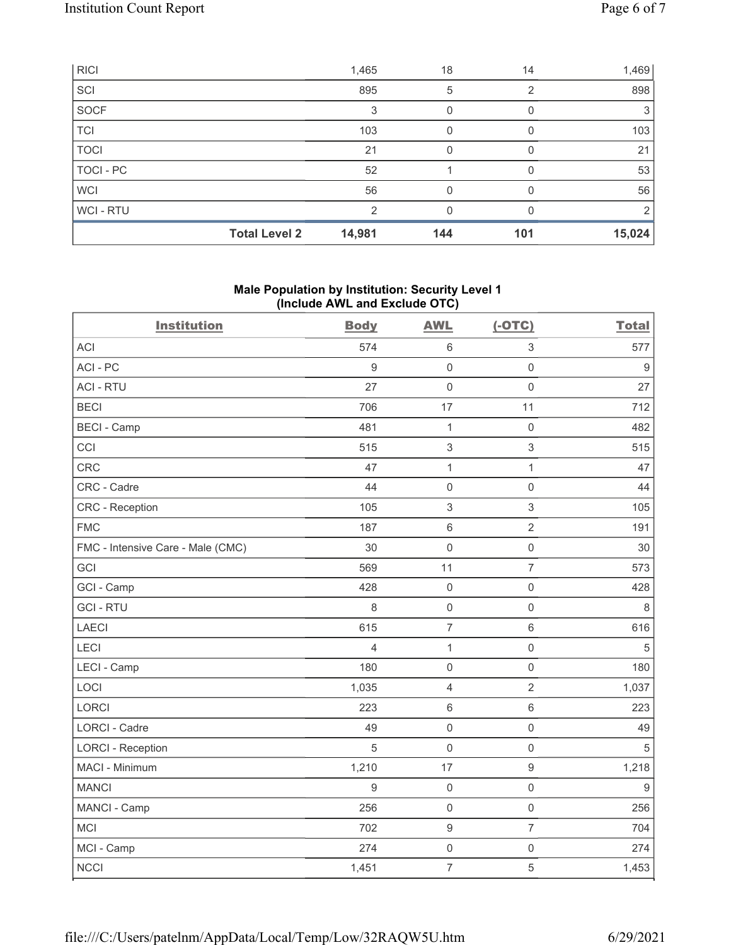| <b>RICI</b> |                      | 1,465  | 18  | 14  | 1,469  |
|-------------|----------------------|--------|-----|-----|--------|
| SCI         |                      | 895    | 5   | 2   | 898    |
| <b>SOCF</b> |                      | 3      |     |     | 3      |
| <b>TCI</b>  |                      | 103    | 0   |     | 103    |
| <b>TOCI</b> |                      | 21     | 0   |     | 21     |
| TOCI - PC   |                      | 52     |     | O   | 53     |
| <b>WCI</b>  |                      | 56     | 0   |     | 56     |
| WCI - RTU   |                      | 2      | 0   |     | 2      |
|             | <b>Total Level 2</b> | 14,981 | 144 | 101 | 15,024 |

### Male Population by Institution: Security Level 1 (Include AWL and Exclude OTC)

| <b>Institution</b>                | <b>Body</b>      | <b>AWL</b>                | $(-OTC)$            | <b>Total</b> |
|-----------------------------------|------------------|---------------------------|---------------------|--------------|
| <b>ACI</b>                        | 574              | $6\,$                     | 3                   | 577          |
| ACI-PC                            | $9\,$            | $\mathsf{O}\xspace$       | $\mathbf 0$         | 9            |
| <b>ACI - RTU</b>                  | 27               | $\mathsf 0$               | $\mathbf 0$         | 27           |
| <b>BECI</b>                       | 706              | 17                        | 11                  | 712          |
| <b>BECI - Camp</b>                | 481              | $\mathbf{1}$              | $\mathsf{O}\xspace$ | 482          |
| CCI                               | 515              | $\ensuremath{\mathsf{3}}$ | 3                   | 515          |
| <b>CRC</b>                        | 47               | $\mathbf{1}$              | $\mathbf{1}$        | 47           |
| CRC - Cadre                       | 44               | $\mathsf 0$               | $\mathsf{O}\xspace$ | 44           |
| <b>CRC</b> - Reception            | 105              | $\sqrt{3}$                | 3                   | 105          |
| <b>FMC</b>                        | 187              | $\,6\,$                   | $\overline{2}$      | 191          |
| FMC - Intensive Care - Male (CMC) | 30               | $\mathsf 0$               | $\mathsf{O}\xspace$ | 30           |
| GCI                               | 569              | 11                        | $\overline{7}$      | 573          |
| GCI - Camp                        | 428              | $\mathsf 0$               | $\mathsf{O}\xspace$ | 428          |
| <b>GCI-RTU</b>                    | $\,8\,$          | $\mathsf 0$               | $\mathsf{O}\xspace$ | 8            |
| <b>LAECI</b>                      | 615              | $\overline{7}$            | 6                   | 616          |
| LECI                              | $\overline{4}$   | $\mathbf{1}$              | $\mathsf{O}\xspace$ | $\sqrt{5}$   |
| LECI - Camp                       | 180              | $\mathsf{O}\xspace$       | $\mathsf{O}\xspace$ | 180          |
| LOCI                              | 1,035            | $\overline{4}$            | $\overline{2}$      | 1,037        |
| <b>LORCI</b>                      | 223              | $\,6\,$                   | $6\,$               | 223          |
| LORCI - Cadre                     | 49               | $\mathsf{O}\xspace$       | $\mathsf{O}\xspace$ | 49           |
| <b>LORCI - Reception</b>          | 5                | $\mathsf{O}\xspace$       | $\mathsf{O}\xspace$ | 5            |
| MACI - Minimum                    | 1,210            | 17                        | $\mathsf g$         | 1,218        |
| <b>MANCI</b>                      | $\boldsymbol{9}$ | $\mathsf 0$               | $\mathsf{O}\xspace$ | $9\,$        |
| MANCI - Camp                      | 256              | $\mathsf 0$               | $\mathsf{O}\xspace$ | 256          |
| <b>MCI</b>                        | 702              | $\boldsymbol{9}$          | $\overline{7}$      | 704          |
| MCI - Camp                        | 274              | $\mathbf 0$               | $\mathsf{O}\xspace$ | 274          |
| <b>NCCI</b>                       | 1,451            | $\overline{7}$            | $\mathbf 5$         | 1,453        |